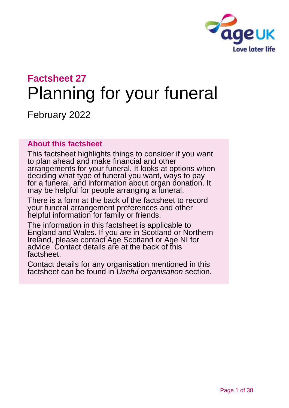

# **Factsheet 27** Planning for your funeral

February 2022

### **About this factsheet**

This factsheet highlights things to consider if you want to plan ahead and make financial and other arrangements for your funeral. It looks at options when deciding what type of funeral you want, ways to pay for a funeral, and information about organ donation. It may be helpful for people arranging a funeral.

There is a form at the back of the factsheet to record your funeral arrangement preferences and other helpful information for family or friends.

The information in this factsheet is applicable to England and Wales. If you are in Scotland or Northern Ireland, please contact [Age Scotland or Age NI](#page-25-0) for advice. Contact details are at the back of this factsheet.

Contact details for any organisation mentioned in this factsheet can be found in *[Useful organisation](#page-22-0)* section.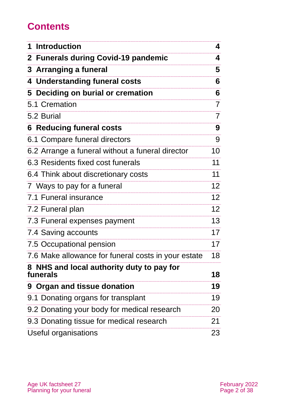# **Contents**

| 1 Introduction                                        | 4               |
|-------------------------------------------------------|-----------------|
| 2 Funerals during Covid-19 pandemic                   | 4               |
| 3 Arranging a funeral                                 | 5               |
| 4 Understanding funeral costs                         | 6               |
| 5 Deciding on burial or cremation                     | 6               |
| 5.1 Cremation                                         | $\overline{7}$  |
| 5.2 Burial                                            | 7               |
| <b>6 Reducing funeral costs</b>                       | 9               |
| 6.1 Compare funeral directors                         | 9               |
| 6.2 Arrange a funeral without a funeral director      | 10              |
| 6.3 Residents fixed cost funerals                     | 11              |
| 6.4 Think about discretionary costs                   | 11              |
| 7 Ways to pay for a funeral                           | 12 <sub>2</sub> |
| 7.1 Funeral insurance                                 | 12 <sub>2</sub> |
| 7.2 Funeral plan                                      | 12 <sub>2</sub> |
| 7.3 Funeral expenses payment                          | 13              |
| 7.4 Saving accounts                                   | 17              |
| 7.5 Occupational pension                              | 17              |
| 7.6 Make allowance for funeral costs in your estate   | 18              |
| 8 NHS and local authority duty to pay for<br>funerals | 18              |
| 9 Organ and tissue donation                           | 19              |
| 9.1 Donating organs for transplant                    | 19              |
| 9.2 Donating your body for medical research           | 20              |
| 9.3 Donating tissue for medical research              | 21              |
| <b>Useful organisations</b>                           | 23              |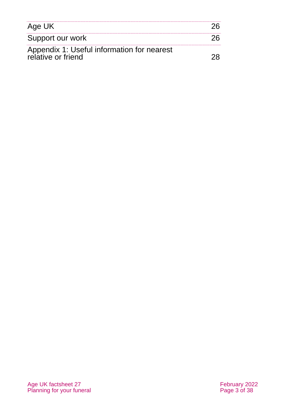| Age UK                                                           |  |
|------------------------------------------------------------------|--|
| Support our work                                                 |  |
| Appendix 1: Useful information for nearest<br>relative or friend |  |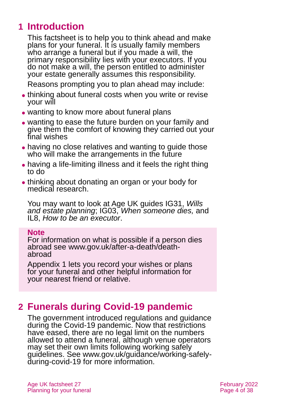# **1 Introduction**

This factsheet is to help you to think ahead and make plans for your funeral. It is usually family members who arrange a funeral but if you made a will, the primary responsibility lies with your executors. If you do not make a will, the person entitled to administer your estate generally assumes this responsibility.

Reasons prompting you to plan ahead may include:

- thinking about funeral costs when you write or revise your will
- wanting to know more about funeral plans
- ⚫ wanting to ease the future burden on your family and give them the comfort of knowing they carried out your final wishes
- having no close relatives and wanting to guide those who will make the arrangements in the future
- having a life-limiting illness and it feels the right thing to do
- ⚫ thinking about donating an organ or your body for medical research.

You may want to look at [Age UK guides IG31,](https://www.ageuk.org.uk/globalassets/age-uk/documents/information-guides/ageukig31_wills_and_estate_planning_inf.pdf) *Wills [and estate planning](https://www.ageuk.org.uk/globalassets/age-uk/documents/information-guides/ageukig31_wills_and_estate_planning_inf.pdf)*; IG03, *[When someone dies,](https://www.ageuk.org.uk/globalassets/age-uk/documents/information-guides/ageukig03_when_someone_dies.inf.pdf)* and IL8, *[How to be an executor](https://www.ageuk.org.uk/globalassets/age-uk/documents/information-guides/ageukil8_how_to_be_an_executor_inf.pdf)*.

#### **Note**

For information on what is possible if a person dies abroad see [www.gov.uk/after-a-death/death](http://www.gov.uk/after-a-death/death-abroad)[abroad](http://www.gov.uk/after-a-death/death-abroad)

[Appendix 1](#page-27-0) lets you record your wishes or plans for your funeral and other helpful information for your nearest friend or relative.

# <span id="page-3-0"></span>**2 Funerals during Covid-19 pandemic**

The government introduced regulations and guidance during the Covid-19 pandemic. Now that restrictions have eased, there are no legal limit on the numbers allowed to attend a funeral, although venue operators may set their own limits following working safely guidelines. See [www.gov.uk/guidance/working-safely](https://www.gov.uk/guidance/working-safely-during-covid-19)[during-covid-19](https://www.gov.uk/guidance/working-safely-during-covid-19) for more information.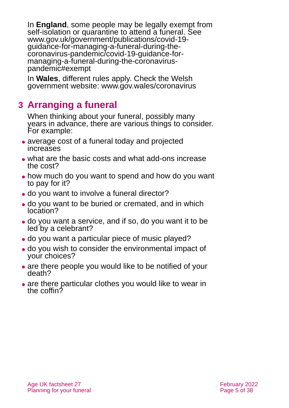In **England**, some people may be legally exempt from self-isolation or quarantine to attend a funeral. See [www.gov.uk/government/publications/covid-19](https://www.gov.uk/government/publications/covid-19-guidance-for-managing-a-funeral-during-the-coronavirus-pandemic/covid-19-guidance-for-managing-a-funeral-during-the-coronavirus-pandemic#exempt) [guidance-for-managing-a-funeral-during-the](https://www.gov.uk/government/publications/covid-19-guidance-for-managing-a-funeral-during-the-coronavirus-pandemic/covid-19-guidance-for-managing-a-funeral-during-the-coronavirus-pandemic#exempt)[coronavirus-pandemic/covid-19-guidance-for](https://www.gov.uk/government/publications/covid-19-guidance-for-managing-a-funeral-during-the-coronavirus-pandemic/covid-19-guidance-for-managing-a-funeral-during-the-coronavirus-pandemic#exempt)[managing-a-funeral-during-the-coronavirus](https://www.gov.uk/government/publications/covid-19-guidance-for-managing-a-funeral-during-the-coronavirus-pandemic/covid-19-guidance-for-managing-a-funeral-during-the-coronavirus-pandemic#exempt)[pandemic#exempt](https://www.gov.uk/government/publications/covid-19-guidance-for-managing-a-funeral-during-the-coronavirus-pandemic/covid-19-guidance-for-managing-a-funeral-during-the-coronavirus-pandemic#exempt)

In **Wales**, different rules apply. Check the [Welsh](https://gov.wales/coronavirus)  [government website: www.gov.wales/coronavirus](https://gov.wales/coronavirus)

# <span id="page-4-0"></span>**3 Arranging a funeral**

When thinking about your funeral, possibly many years in advance, there are various things to consider. For example:

- ⚫ average cost of a funeral today and projected increases
- ⚫ what are the basic costs and what add-ons increase the cost?
- how much do you want to spend and how do you want to pay for it?
- do you want to involve a funeral director?
- ⚫ do you want to be buried or cremated, and in which location?
- ⚫ do you want a service, and if so, do you want it to be led by a celebrant?
- ⚫ do you want a particular piece of music played?
- ⚫ do you wish to consider the environmental impact of your choices?
- are there people you would like to be notified of your death?
- are there particular clothes you would like to wear in the coffin?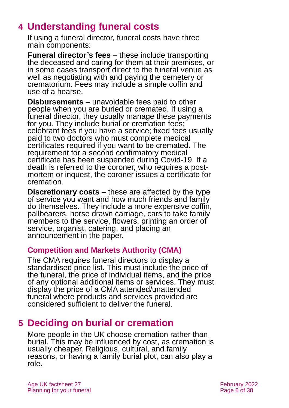# <span id="page-5-0"></span>**4 Understanding funeral costs**

If using a funeral director, funeral costs have three main components:

**Funeral director's fees** – these include transporting the deceased and caring for them at their premises, or in some cases transport direct to the funeral venue as well as negotiating with and paying the cemetery or crematorium. Fees may include a simple coffin and use of a hearse.

**Disbursements** – unavoidable fees paid to other people when you are buried or cremated. If using a funeral director, they usually manage these payments for you. They include burial or cremation fees; celebrant fees if you have a service; fixed fees usually paid to two doctors who must complete medical certificates required if you want to be cremated. The requirement for a second confirmatory medical certificate has been suspended during Covid-19. If a death is referred to the coroner, who requires a postmortem or inquest, the coroner issues a certificate for cremation.

**Discretionary costs** – these are affected by the type of service you want and how much friends and family do themselves. They include a more expensive coffin, pallbearers, horse drawn carriage, cars to take family members to the service, flowers, printing an order of service, organist, catering, and placing an announcement in the paper.

### **Competition and Markets Authority (CMA)**

The CMA requires funeral directors to display a standardised price list. This must include the price of the funeral, the price of individual items, and the price of any optional additional items or services. They must display the price of a CMA attended/unattended funeral where products and services provided are considered sufficient to deliver the funeral.

# <span id="page-5-1"></span>**5 Deciding on burial or cremation**

More people in the UK choose cremation rather than burial. This may be influenced by cost, as cremation is usually cheaper. Religious, cultural, and family reasons, or having a family burial plot, can also play a role.

Age UK factsheet 27 February 2022 Planning for your funeral **Planning for your funeral**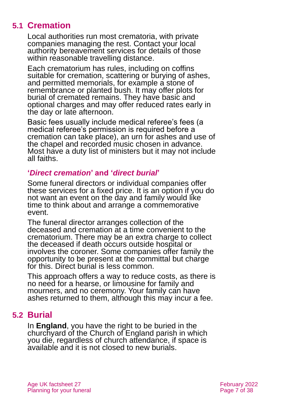# **5.1 Cremation**

Local authorities run most crematoria, with private companies managing the rest. Contact your local authority bereavement services for details of those within reasonable travelling distance.

Each crematorium has rules, including on coffins suitable for cremation, scattering or burying of ashes, and permitted memorials, for example a stone of remembrance or planted bush. It may offer plots for burial of cremated remains. They have basic and optional charges and may offer reduced rates early in the day or late afternoon.

Basic fees usually include medical referee's fees (a medical referee's permission is required before a cremation can take place), an urn for ashes and use of the chapel and recorded music chosen in advance. Most have a duty list of ministers but it may not include all faiths.

### **'***Direct cremation***' and '***direct burial***'**

Some funeral directors or individual companies offer these services for a fixed price. It is an option if you do not want an event on the day and family would like time to think about and arrange a commemorative event.

The funeral director arranges collection of the deceased and cremation at a time convenient to the crematorium. There may be an extra charge to collect the deceased if death occurs outside hospital or involves the coroner. Some companies offer family the opportunity to be present at the committal but charge for this. Direct burial is less common.

This approach offers a way to reduce costs, as there is no need for a hearse, or limousine for family and mourners, and no ceremony. Your family can have ashes returned to them, although this may incur a fee.

# **5.2 Burial**

In **England**, you have the right to be buried in the churchyard of the Church of England parish in which you die, regardless of church attendance, if space is available and it is not closed to new burials.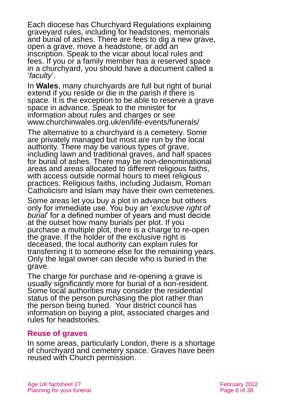Each diocese has Churchyard Regulations explaining graveyard rules, including for headstones, memorials and burial of ashes. There are fees to dig a new grave, open a grave, move a headstone, or add an inscription. Speak to the vicar about local rules and fees. If you or a family member has a reserved space in a churchyard, you should have a document called a '*faculty*'.

In **Wales**, many churchyards are full but right of burial extend if you reside or die in the parish if there is space. It is the exception to be able to reserve a grave space in advance. Speak to the minister for information about rules and charges or see [www.churchinwales.org.uk/en/life-events/funerals/](http://www.churchinwales.org.uk/en/life-events/funerals/)

The alternative to a churchyard is a cemetery. Some are privately managed but most are run by the local authority. There may be various types of grave, including lawn and traditional graves, and half spaces for burial of ashes. There may be non-denominational areas and areas allocated to different religious faiths, with access outside normal hours to meet religious practices. Religious faiths, including Judaism, Roman Catholicism and Islam may have their own cemeteries.

Some areas let you buy a plot in advance but others only for immediate use. You buy an '*exclusive right of burial*' for a defined number of years and must decide at the outset how many burials per plot. If you purchase a multiple plot, there is a charge to re-open the grave. If the holder of the exclusive right is deceased, the local authority can explain rules for transferring it to someone else for the remaining years. Only the legal owner can decide who is buried in the grave.

The charge for purchase and re-opening a grave is usually significantly more for burial of a non-resident. Some local authorities may consider the residential status of the person purchasing the plot rather than the person being buried. Your district council has information on buying a plot, associated charges and rules for headstones.

### **Reuse of graves**

In some areas, particularly London, there is a shortage of churchyard and cemetery space. Graves have been reused with Church permission.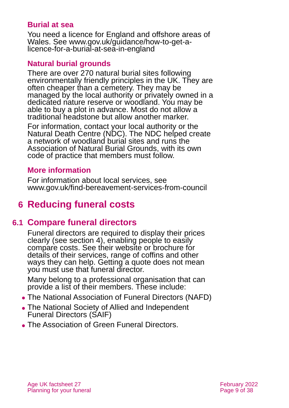### **Burial at sea**

You need a licence for England and offshore areas of Wales. See [www.gov.uk/guidance/how-to-get-a](http://www.gov.uk/guidance/how-to-get-a-licence-for-a-burial-at-sea-in-england)[licence-for-a-burial-at-sea-in-england](http://www.gov.uk/guidance/how-to-get-a-licence-for-a-burial-at-sea-in-england)

### **Natural burial grounds**

There are over 270 natural burial sites following environmentally friendly principles in the UK. They are often cheaper than a cemetery. They may be managed by the local authority or privately owned in a dedicated nature reserve or woodland. You may be able to buy a plot in advance. Most do not allow a traditional headstone but allow another marker.

For information, contact your local authority or the [Natural Death Centre](http://www.naturaldeath.org.uk/) (NDC). The NDC helped create a network of woodland burial sites and runs the Association of Natural Burial Grounds, with its own code of practice that members must follow.

### **More information**

For information about local services, see [www.gov.uk/find-bereavement-services-from-council](http://www.gov.uk/find-bereavement-services-from-council)

# <span id="page-8-0"></span>**6 Reducing funeral costs**

# **6.1 Compare funeral directors**

Funeral directors are required to display their prices clearly (see [section 4\)](#page-5-0), enabling people to easily compare costs. See their website or brochure for details of their services, range of coffins and other ways they can help. Getting a quote does not mean you must use that funeral director.

Many belong to a professional organisation that can provide a list of their members. These include:

- ⚫ The National Association of Funeral Directors (NAFD)
- ⚫ The National Society of Allied and Independent Funeral Directors (SAIF)
- ⚫ The Association of Green Funeral Directors.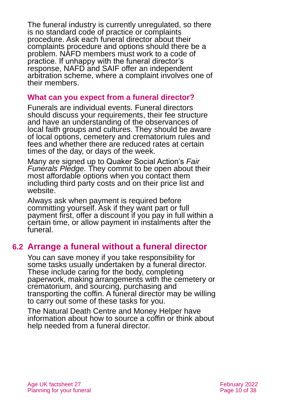The funeral industry is currently unregulated, so there is no standard code of practice or complaints procedure. Ask each funeral director about their complaints procedure and options should there be a problem. NAFD members must work to a code of practice. If unhappy with the funeral director's response, NAFD and SAIF offer an independent arbitration scheme, where a complaint involves one of their members.

### **What can you expect from a funeral director?**

Funerals are individual events. Funeral directors should discuss your requirements, their fee structure and have an understanding of the observances of local faith groups and cultures. They should be aware of local options, cemetery and crematorium rules and fees and whether there are reduced rates at certain times of the day, or days of the week.

Many are signed up to [Quaker Social Action's](https://fairfuneralscampaign.org.uk/) *Fair*  [Funerals Pledge.](https://fairfuneralscampaign.org.uk/) They commit to be open about their most affordable options when you contact them including third party costs and on their price list and website.

Always ask when payment is required before committing yourself. Ask if they want part or full payment first, offer a discount if you pay in full within a certain time, or allow payment in instalments after the funeral.

# **6.2 Arrange a funeral without a funeral director**

You can save money if you take responsibility for some tasks usually undertaken by a funeral director. These include caring for the body, completing paperwork, making arrangements with the cemetery or crematorium, and sourcing, purchasing and transporting the coffin. A funeral director may be willing to carry out some of these tasks for you.

The [Natural Death Centre](http://www.naturaldeath.org.uk/) and [Money Helper](https://www.moneyhelper.org.uk/en) have information about how to source a coffin or think about help needed from a funeral director.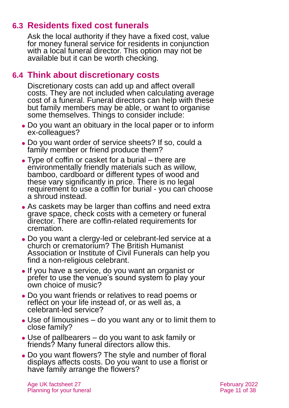# **6.3 Residents fixed cost funerals**

Ask the local authority if they have a fixed cost, value for money funeral service for residents in conjunction with a local funeral director. This option may not be available but it can be worth checking.

### **6.4 Think about discretionary costs**

Discretionary costs can add up and affect overall costs. They are not included when calculating average cost of a funeral. Funeral directors can help with these but family members may be able, or want to organise some themselves. Things to consider include:

- ⚫ Do you want an obituary in the local paper or to inform ex-colleagues?
- ⚫ Do you want order of service sheets? If so, could a family member or friend produce them?
- ⚫ Type of coffin or casket for a burial there are environmentally friendly materials such as willow, bamboo, cardboard or different types of wood and these vary significantly in price. There is no legal requirement to use a coffin for burial - you can choose a shroud instead.
- As caskets may be larger than coffins and need extra grave space, check costs with a cemetery or funeral director. There are coffin-related requirements for cremation.
- ⚫ Do you want a clergy-led or celebrant-led service at a church or crematorium? The [British Humanist](http://www.humanism.org.uk/)  [Association](http://www.humanism.org.uk/) or [Institute of Civil Funerals](https://www.iocf.org.uk/) can help you find a non-religious celebrant.
- ⚫ If you have a service, do you want an organist or prefer to use the venue's sound system to play your own choice of music?
- ⚫ Do you want friends or relatives to read poems or reflect on your life instead of, or as well as, a celebrant-led service?
- Use of limousines do you want any or to limit them to close family?
- ⚫ Use of pallbearers do you want to ask family or friends? Many funeral directors allow this.
- Do you want flowers? The style and number of floral displays affects costs. Do you want to use a florist or have family arrange the flowers?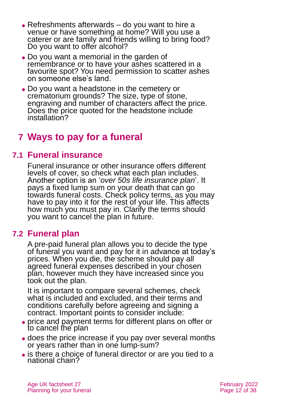- ⚫ Refreshments afterwards do you want to hire a venue or have something at home? Will you use a caterer or are family and friends willing to bring food? Do you want to offer alcohol?
- ⚫ Do you want a memorial in the garden of remembrance or to have your ashes scattered in a favourite spot? You need permission to scatter ashes on someone else's land.
- ⚫ Do you want a headstone in the cemetery or crematorium grounds? The size, type of stone, engraving and number of characters affect the price. Does the price quoted for the headstone include installation?

# **7 Ways to pay for a funeral**

# **7.1 Funeral insurance**

Funeral insurance or other insurance offers different levels of cover, so check what each plan includes. Another option is an '*over 50s life insurance plan*'. It pays a fixed lump sum on your death that can go towards funeral costs. Check policy terms, as you may have to pay into it for the rest of your life. This affects how much you must pay in. Clarify the terms should you want to cancel the plan in future.

# **7.2 Funeral plan**

A pre-paid funeral plan allows you to decide the type of funeral you want and pay for it in advance at today's prices. When you die, the scheme should pay all agreed funeral expenses described in your chosen plan, however much they have increased since you took out the plan.

It is important to compare several schemes, check what is included and excluded, and their terms and conditions carefully before agreeing and signing a contract. Important points to consider include:

- ⚫ price and payment terms for different plans on offer or to cancel the plan
- ⚫ does the price increase if you pay over several months or years rather than in one lump-sum?
- is there a choice of funeral director or are you tied to a national chain?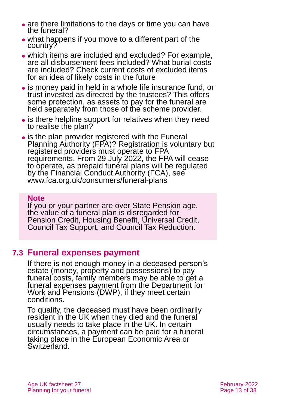- are there limitations to the days or time you can have the funeral?
- ⚫ what happens if you move to a different part of the country?
- ⚫ which items are included and excluded? For example, are all disbursement fees included? What burial costs are included? Check current costs of excluded items for an idea of likely costs in the future
- ⚫ is money paid in held in a whole life insurance fund, or trust invested as directed by the trustees? This offers some protection, as assets to pay for the funeral are held separately from those of the scheme provider.
- is there helpline support for relatives when they need to realise the plan?
- is the plan provider registered with the Funeral Planning Authority (FPA)? Registration is voluntary but registered providers must operate to FPA requirements. From 29 July 2022, the FPA will cease to operate, as prepaid funeral plans will be regulated by the Financial Conduct Authority (FCA), see [www.fca.org.uk/consumers/funeral-plans](https://www.fca.org.uk/consumers/funeral-plans)

#### **Note**

If you or your partner are over State Pension age, the value of a funeral plan is disregarded for Pension Credit, Housing Benefit, Universal Credit, Council Tax Support, and Council Tax Reduction.

# **7.3 Funeral expenses payment**

If there is not enough money in a deceased person's estate (money, property and possessions) to pay funeral costs, family members may be [a](https://www.gov.uk/funeral-payments)ble to get a [funeral expenses payment](https://www.gov.uk/funeral-payments) from the Department for Work and Pensions (DWP), if they meet certain conditions.

To qualify, the deceased must have been ordinarily resident in the UK when they died and the funeral usually needs to take place in the UK. In certain circumstances, a payment can be paid for a funeral taking place in the European Economic Area or Switzerland.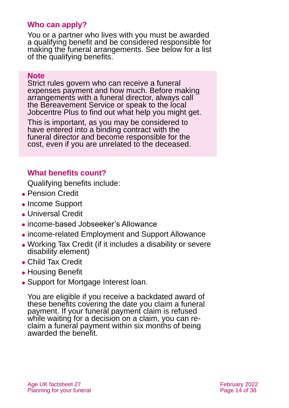### **Who can apply?**

You or a partner who lives with you must be awarded a qualifying benefit and be considered responsible for making the funeral arrangements. See below for a list of the qualifying benefits.

#### **Note**

Strict rules govern who can receive a funeral expenses payment and how much. Before making arrangements with a funeral director, always call the Bereavement Service or speak to the local Jobcentre Plus to find out what help you might get.

This is important, as you may be considered to have entered into a binding contract with the funeral director and become responsible for the cost, even if you are unrelated to the deceased.

### **What benefits count?**

Qualifying benefits include:

- Pension Credit
- ⚫ Income Support
- ⚫ Universal Credit
- ⚫ income-based Jobseeker's Allowance
- ⚫ income-related Employment and Support Allowance
- ⚫ Working Tax Credit (if it includes a disability or severe disability element)
- ⚫ Child Tax Credit
- Housing Benefit
- Support for Mortgage Interest loan.

You are eligible if you receive a backdated award of these benefits covering the date you claim a funeral payment. If your funeral payment claim is refused while waiting for a decision on a claim, you can reclaim a funeral payment within six months of being awarded the benefit.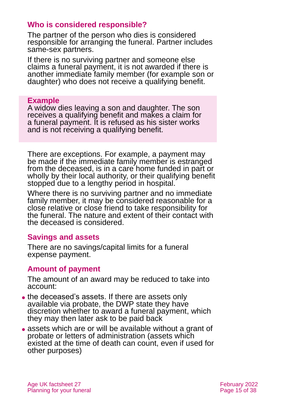### **Who is considered responsible?**

The partner of the person who dies is considered responsible for arranging the funeral. Partner includes same-sex partners.

If there is no surviving partner and someone else claims a funeral payment, it is not awarded if there is another immediate family member (for example son or daughter) who does not receive a qualifying benefit.

#### **Example**

A widow dies leaving a son and daughter. The son receives a qualifying benefit and makes a claim for a funeral payment. It is refused as his sister works and is not receiving a qualifying benefit.

There are exceptions. For example, a payment may be made if the immediate family member is estranged from the deceased, is in a care home funded in part or wholly by their local authority, or their qualifying benefit stopped due to a lengthy period in hospital.

Where there is no surviving partner and no immediate family member, it may be considered reasonable for a close relative or close friend to take responsibility for the funeral. The nature and extent of their contact with the deceased is considered.

### **Savings and assets**

There are no savings/capital limits for a funeral expense payment.

### **Amount of payment**

The amount of an award may be reduced to take into account:

- ⚫ the deceased's assets. If there are assets only available via probate, the DWP state they have discretion whether to award a funeral payment, which they may then later ask to be paid back
- ⚫ assets which are or will be available without a grant of probate or letters of administration (assets which existed at the time of death can count, even if used for other purposes)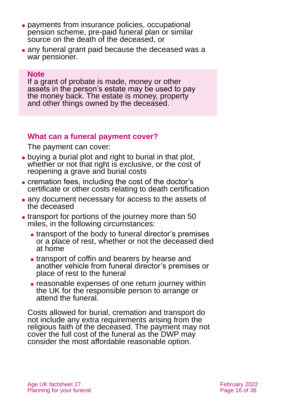- ⚫ payments from insurance policies, occupational pension scheme, pre-paid funeral plan or similar source on the death of the deceased, or
- ⚫ any funeral grant paid because the deceased was a war pensioner.

#### **Note**

If a grant of probate is made, money or other assets in the person's estate may be used to pay the money back. The estate is money, property and other things owned by the deceased.

### **What can a funeral payment cover?**

The payment can cover:

- ⚫ buying a burial plot and right to burial in that plot, whether or not that right is exclusive, or the cost of reopening a grave and burial costs
- ⚫ cremation fees, including the cost of the doctor's certificate or other costs relating to death certification
- ⚫ any document necessary for access to the assets of the deceased
- transport for portions of the journey more than 50 miles, in the following circumstances:
	- transport of the body to funeral director's premises or a place of rest, whether or not the deceased died at home
	- ⚫ transport of coffin and bearers by hearse and another vehicle from funeral director's premises or place of rest to the funeral
	- ⚫ reasonable expenses of one return journey within the UK for the responsible person to arrange or attend the funeral.

Costs allowed for burial, cremation and transport do not include any extra requirements arising from the religious faith of the deceased. The payment may not cover the full cost of the funeral as the DWP may consider the most affordable reasonable option.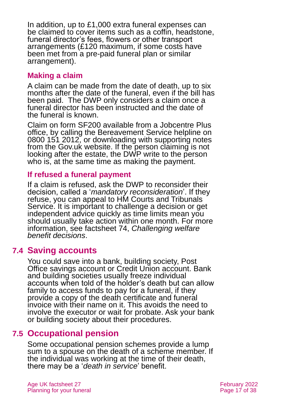In addition, up to £1,000 extra funeral expenses can be claimed to cover items such as a coffin, headstone, funeral director's fees, flowers or other transport arrangements (£120 maximum, if some costs have been met from a pre-paid funeral plan or similar arrangement).

### **Making a claim**

A claim can be made from the date of death, up to six months after the date of the funeral, even if the bill has been paid. The DWP only considers a claim once a funeral director has been instructed and the date of the funeral is known.

Claim on [form SF200](https://www.gov.uk/government/publications/funeral-payment-claim-form) available from a Jobcentre Plus office, by calling the Bereavement Service helpline on 0800 151 2012, or downloading with supporting notes from the [Gov.uk](https://www.gov.uk/government/publications/funeral-payment-claim-form) website. If the person claiming is not looking after the estate, the DWP write to the person who is, at the same time as making the payment.

### **If refused a funeral payment**

If a claim is refused, ask the DWP to reconsider their decision, called a '*mandatory reconsideration*'. If they refuse, you can appeal to HM Courts and Tribunals Service. It is important to challenge a decision or get independent advice quickly as time limits mean you should usually take action within one month. For more information, see factsheet 74, *[Challenging welfare](https://www.ageuk.org.uk/globalassets/age-uk/documents/factsheets/fs74_challenging_welfare_benefit_decisions_fcs.pdf)  [benefit decisions](https://www.ageuk.org.uk/globalassets/age-uk/documents/factsheets/fs74_challenging_welfare_benefit_decisions_fcs.pdf)*.

### **7.4 Saving accounts**

You could save into a bank, building society, Post Office savings account or Credit Union account. Bank and building societies usually freeze individual accounts when told of the holder's death but can allow family to access funds to pay for a funeral, if they provide a copy of the death certificate and funeral invoice with their name on it. This avoids the need to involve the executor or wait for probate. Ask your bank or building society about their procedures.

### **7.5 Occupational pension**

Some occupational pension schemes provide a lump sum to a spouse on the death of a scheme member. If the individual was working at the time of their death, there may be a '*death in service*' benefit.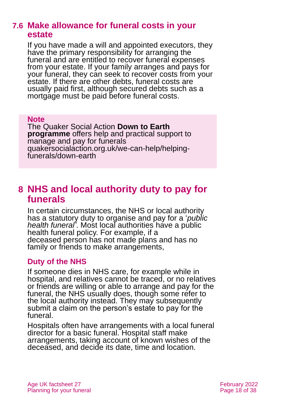### **7.6 Make allowance for funeral costs in your estate**

If you have made a will and appointed executors, they have the primary responsibility for arranging the funeral and are entitled to recover funeral expenses from your estate. If your family arranges and pays for your funeral, they can seek to recover costs from your estate. If there are other debts, funeral costs are usually paid first, although secured debts such as a mortgage must be paid before funeral costs.

#### **Note**

The [Quaker Social Action](https://www.quakersocialaction.org.uk/) **Down to Earth programme** offers help and practical support to manage and pay for funerals [quakersocialaction.org.uk/we-can-help/helping](https://quakersocialaction.org.uk/we-can-help/helping-funerals/down-earth)[funerals/down-earth](https://quakersocialaction.org.uk/we-can-help/helping-funerals/down-earth)

# <span id="page-17-0"></span>**8 NHS and local authority duty to pay for funerals**

In certain circumstances, the NHS or local authority has a statutory duty to organise and pay for a '*public health funeral'*. Most local authorities have a public health funeral policy. For example, if a deceased person has not made plans and has no family or friends to make arrangements,

### **Duty of the NHS**

If someone dies in NHS care, for example while in hospital, and relatives cannot be traced, or no relatives or friends are willing or able to arrange and pay for the funeral, the NHS usually does, though some refer to the local authority instead. They may subsequently submit a claim on the person's estate to pay for the funeral.

Hospitals often have arrangements with a local funeral director for a basic funeral. Hospital staff make arrangements, taking account of known wishes of the deceased, and decide its date, time and location.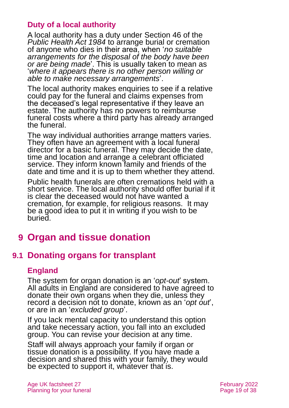### **Duty of a local authority**

A local authority has a duty under Section 46 of the *[Public Health Act 1984](https://www.legislation.gov.uk/ukpga/1984/22/contents)* to arrange burial or cremation of anyone who dies in their area, when '*no suitable arrangements for the disposal of the body have been or are being made*'. This is usually taken to mean as '*where it appears there is no other person willing or able to make necessary arrangements*'.

The local authority makes enquiries to see if a relative could pay for the funeral and claims expenses from the deceased's legal representative if they leave an estate. The authority has no powers to reimburse funeral costs where a third party has already arranged the funeral.

The way individual authorities arrange matters varies. They often have an agreement with a local funeral director for a basic funeral. They may decide the date, time and location and arrange a celebrant officiated service. They inform known family and friends of the date and time and it is up to them whether they attend.

Public health funerals are often cremations held with a short service. The local authority should offer burial if it is clear the deceased would not have wanted a cremation, for example, for religious reasons. It may be a good idea to put it in writing if you wish to be buried.

# <span id="page-18-0"></span>**9 Organ and tissue donation**

# **9.1 Donating organs for transplant**

### **England**

The system for organ donation is an '*opt-out*' system. All adults in England are considered to have agreed to donate their own organs when they die, unless they record a decision not to donate, known as an '*opt out*', or are in an '*excluded group*'.

If you lack mental capacity to understand this option and take necessary action, you fall into an excluded group. You can revise your decision at any time.

Staff will always approach your family if organ or tissue donation is a possibility. If you have made a decision and shared this with your family, they would be expected to support it, whatever that is.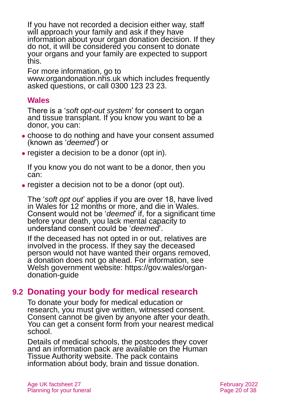If you have not recorded a decision either way, staff will approach your family and ask if they have information about your organ donation decision. If they do not, it will be considered you consent to donate your organs and your family are expected to support this.

For more information, go to [www.organdonation.nhs.uk](http://www.organdonation.nhs.uk/) which includes frequently asked questions, or call 0300 123 23 23.

### **Wales**

There is a '*soft opt-out system*' for consent to organ and tissue transplant. If you know you want to be a donor, you can:

- choose to do nothing and have your consent assumed (known as '*deemed*') or
- ⚫ register a decision to be a donor (opt in).

If you know you do not want to be a donor, then you can:

⚫ register a decision not to be a donor (opt out).

The '*soft opt out*' applies if you are over 18, have lived in Wales for 12 months or more, and die in Wales. Consent would not be '*deemed*' if, for a significant time before your death, you lack mental capacity to understand consent could be '*deemed*'.

If the deceased has not opted in or out, relatives are involved in the process. If they say the deceased person would not have wanted their organs removed, a donation does not go ahead. For information, see Welsh government website: [https://gov.wales/organ](https://gov.wales/organ-donation-guide)[donation-guide](https://gov.wales/organ-donation-guide)

# **9.2 Donating your body for medical research**

To donate your body for medical education or research, you must give written, witnessed consent. Consent cannot be given by anyone after your death. You can get a consent form from your nearest medical school.

Details of medical schools, the postcodes they cover and an [information pack](https://www.hta.gov.uk/donating-your-body) are available on the [Human](https://www.hta.gov.uk/guidance-public/body-donation)  [Tissue Authority website.](https://www.hta.gov.uk/guidance-public/body-donation) The pack contains information about body, brain and tissue donation.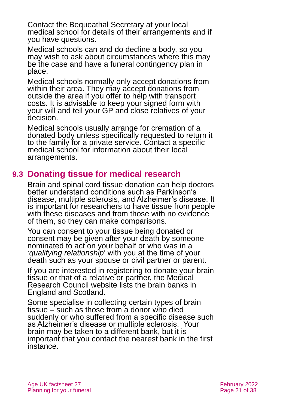Contact the Bequeathal Secretary at your local medical school for details of their arrangements and if you have questions.

Medical schools can and do decline a body, so you may wish to ask about circumstances where this may be the case and have a funeral contingency plan in place.

Medical schools normally only accept donations from within their area. They may accept donations from outside the area if you offer to help with transport costs. It is advisable to keep your signed form with your will and tell your GP and close relatives of your decision.

Medical schools usually arrange for cremation of a donated body unless specifically requested to return it to the family for a private service. Contact a specific medical school for information about their local arrangements.

# **9.3 Donating tissue for medical research**

Brain and spinal cord tissue donation can help doctors better understand conditions such as Parkinson's disease, multiple sclerosis, and Alzheimer's disease. It is important for researchers to have tissue from people with these diseases and from those with no evidence of them, so they can make comparisons.

You can consent to your tissue being donated or consent may be given after your death by someone nominated to act on your behalf or who was in a '*qualifying relationship*' with you at the time of your death such as your spouse or civil partner or parent.

If you are interested in registering to donate your brain tissue or that of a relative or partner, the [Medical](https://mrc.ukri.org/research/facilities-and-resources-for-researchers/brain-banks/donating-brain-and-spinal-cord-tissue/)  [Research Council website](https://mrc.ukri.org/research/facilities-and-resources-for-researchers/brain-banks/donating-brain-and-spinal-cord-tissue/) lists the brain banks in England and Scotland.

Some specialise in collecting certain types of brain tissue – such as those from a donor who died suddenly or who suffered from a specific disease such as Alzheimer's disease or multiple sclerosis. Your brain may be taken to a different bank, but it is important that you contact the nearest bank in the first instance.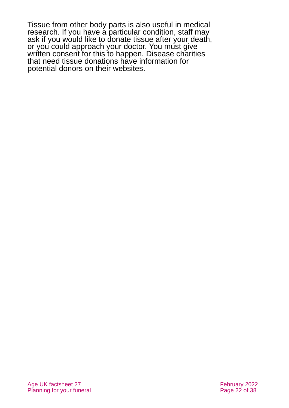Tissue from other body parts is also useful in medical research. If you have a particular condition, staff may ask if you would like to donate tissue after your death, or you could approach your doctor. You must give written consent for this to happen. Disease charities that need tissue donations have information for potential donors on their websites.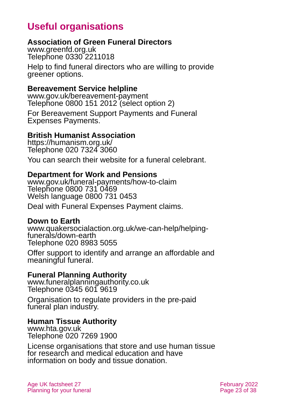# **Useful organisations**

### <span id="page-22-0"></span>**Association of Green Funeral Directors**

[www.greenfd.org.uk](http://www.greenfd.org.uk/) Telephone 0330 2211018

Help to find funeral directors who are willing to provide greener options.

### **Bereavement Service helpline**

[www.gov.uk/bereavement-payment](http://www.gov.uk/bereavement-payment) Telephone 0800 151 2012 (select option 2)

For Bereavement Support Payments and Funeral Expenses Payments.

### **British Humanist Association**

<https://humanism.org.uk/> Telephone 020 7324 3060

You can search their website for a funeral celebrant.

#### **Department for Work and Pensions**

[www.gov.uk/funeral-payments/how-to-claim](http://www.gov.uk/funeral-payments/how-to-claim) Telephone 0800 731 0469 Welsh language 0800 731 0453

Deal with Funeral Expenses Payment claims.

#### **Down to Earth**

[www.quakersocialaction.org.uk/we-can-help/helping](https://quakersocialaction.org.uk/we-can-help/helping-funerals/down-earth)[funerals/down-earth](https://quakersocialaction.org.uk/we-can-help/helping-funerals/down-earth) Telephone 020 8983 5055

Offer support to identify and arrange an affordable and meaningful funeral.

### **Funeral Planning Authority**

[www.funeralplanningauthority.co.uk](http://www.funeralplanningauthority.co.uk/) Telephone 0345 601 9619

Organisation to regulate providers in the pre-paid funeral plan industry.

### **Human Tissue Authority**

[www.hta.gov.uk](http://www.hta.gov.uk/) Telephone 020 7269 1900

License organisations that store and use human tissue for research and medical education and have information on body and tissue donation.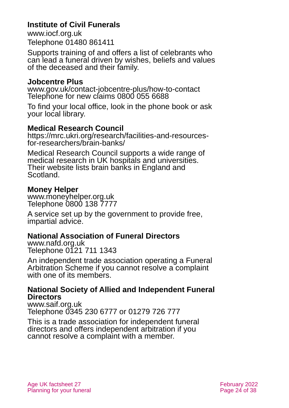### **Institute of Civil Funerals**

[www.iocf.org.uk](http://www.iocf.org.uk/) Telephone 01480 861411

Supports training of and offers a list of celebrants who can lead a funeral driven by wishes, beliefs and values of the deceased and their family.

### **Jobcentre Plus**

[www.gov.uk/contact-jobcentre-plus/how-to-contact](http://www.gov.uk/contact-jobcentre-plus/how-to-contact) Telephone for new claims 0800 055 6688

To find your local office, look in the phone book or ask your local library.

### **Medical Research Council**

[https://mrc.ukri.org/research/facilities-and-resources](https://mrc.ukri.org/research/facilities-and-resources-for-researchers/brain-banks/)[for-researchers/brain-banks/](https://mrc.ukri.org/research/facilities-and-resources-for-researchers/brain-banks/)

Medical Research Council supports a wide range of medical research in UK hospitals and universities. Their website lists brain banks in England and Scotland.

### **Money Helper**

[www.moneyhelper.org.uk](http://www.moneyhelper.org.uk/en) Telephone 0800 138 7777

A service set up by the government to provide free, impartial advice.

### **National Association of Funeral Directors**

[www.nafd.org.uk](http://www.nafd.org.uk/) Telephone 0121 711 1343

An independent trade association operating a Funeral Arbitration Scheme if you cannot resolve a complaint with one of its members.

### **National Society of Allied and Independent Funeral Directors**

[www.saif.org.uk](http://www.saif.org.uk/) Telephone 0345 230 6777 or 01279 726 777

This is a trade association for independent funeral directors and offers independent arbitration if you cannot resolve a complaint with a member.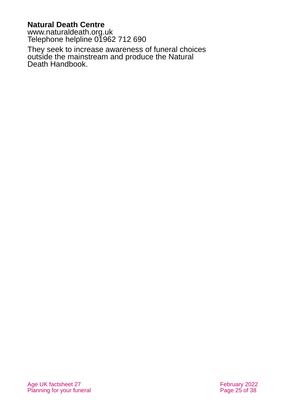### **Natural Death Centre**

[www.naturaldeath.org.uk](http://www.naturaldeath.org.uk/) Telephone helpline 01962 712 690

They seek to increase awareness of funeral choices outside the mainstream and produce the Natural Death Handbook.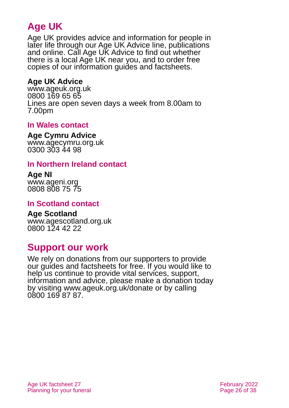# **Age UK**

Age UK provides advice and information for people in later life through our Age UK Advice line, publications and online. Call Age UK Advice to find out whether there is a local Age UK near you, and to order free copies of our information guides and factsheets.

### <span id="page-25-1"></span>**Age UK Advice**

[www.ageuk.org.uk](http://www.ageuk.org.uk/) 0800 169 65 65 Lines are open seven days a week from 8.00am to 7.00pm

### **In Wales contact**

#### **Age Cymru Advice**

[www.agecymru.org.uk](http://www.agecymru.org.uk/) 0300 303 44 98

### <span id="page-25-0"></span>**In Northern Ireland contact**

#### **Age NI** [www.ageni.org](http://www.ageni.org/) 0808 808 75 75

### **In Scotland contact**

#### <span id="page-25-2"></span>**Age Scotland** [www.agescotland.org.uk](http://www.agescotland.org.uk/) 0800 124 42 22

# **Support our work**

We rely on donations from our supporters to provide our guides and factsheets for free. If you would like to help us continue to provide vital services, support, information and advice, please make a donation today by visiting [www.ageuk.org.uk/donate](http://www.ageuk.org.uk/donate) or by calling 0800 169 87 87.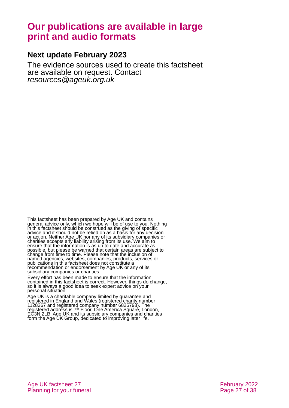# **Our publications are available in large print and audio formats**

#### **Next update February 2023**

The evidence sources used to create this factsheet are available on request. Contact *[resources@ageuk.org.uk](mailto:resources@ageuk.org.uk)*

This factsheet has been prepared by Age UK and contains general advice only, which we hope will be of use to you. Nothing in this factsheet should be construed as the giving of specific advice and it should not be relied on as a basis for any decision or action. Neither Age UK nor any of its subsidiary companies or charities accepts any liability arising from its use. We aim to ensure that the information is as up to date and accurate as possible, but please be warned that certain areas are subject to change from time to time. Please note that the inclusion of named agencies, websites, companies, products, services or publications in this factsheet does not constitute a recommendation or endorsement by Age UK or any of its subsidiary companies or charities.

Every effort has been made to ensure that the information contained in this factsheet is correct. However, things do change, so it is always a good idea to seek expert advice on your personal situation.

Age UK is a charitable company limited by guarantee and registered in England and Wales (registered charity number 1128267 and registered company number 6825798). The registered address is 7<sup>th</sup> Floor, One America Squaré, London, EC3N 2LB. Age UK and its subsidiary companies and charities form the Age UK Group, dedicated to improving later life.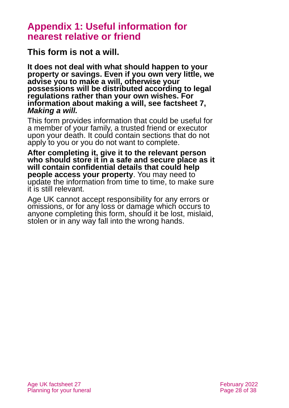# <span id="page-27-0"></span>**Appendix 1: Useful information for nearest relative or friend**

**This form is not a will.** 

**It does not deal with what should happen to your property or savings. Even if you own very little, we advise you to make a will, otherwise your possessions will be distributed according to legal regulations rather than your own wishes. For information about making a will, see [factsheet 7,](https://www.ageuk.org.uk/globalassets/age-uk/documents/factsheets/fs7_making_a_will_fcs.pdf)**  *[Making a will.](https://www.ageuk.org.uk/globalassets/age-uk/documents/factsheets/fs7_making_a_will_fcs.pdf)*

This form provides information that could be useful for a member of your family, a trusted friend or executor upon your death. It could contain sections that do not apply to you or you do not want to complete.

**After completing it, give it to the relevant person who should store it in a safe and secure place as it will contain confidential details that could help people access your property**. You may need to update the information from time to time, to make sure it is still relevant.

Age UK cannot accept responsibility for any errors or omissions, or for any loss or damage which occurs to anyone completing this form, should it be lost, mislaid, stolen or in any way fall into the wrong hands.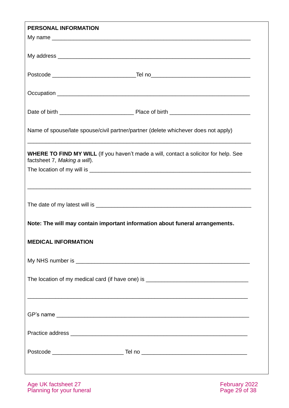| PERSONAL INFORMATION                                                                                                        |
|-----------------------------------------------------------------------------------------------------------------------------|
|                                                                                                                             |
|                                                                                                                             |
|                                                                                                                             |
|                                                                                                                             |
|                                                                                                                             |
|                                                                                                                             |
| Name of spouse/late spouse/civil partner/partner (delete whichever does not apply)                                          |
| <b>WHERE TO FIND MY WILL</b> (If you haven't made a will, contact a solicitor for help. See<br>factsheet 7, Making a will). |
|                                                                                                                             |
|                                                                                                                             |
|                                                                                                                             |
|                                                                                                                             |
| Note: The will may contain important information about funeral arrangements.                                                |
| <b>MEDICAL INFORMATION</b>                                                                                                  |
|                                                                                                                             |
|                                                                                                                             |
| The location of my medical card (if have one) is ________________________________                                           |
| ,我们也不能在这里的人,我们也不能在这里的人,我们也不能在这里的人,我们也不能在这里的人,我们也不能在这里的人,我们也不能在这里的人,我们也不能在这里的人,我们也                                           |
|                                                                                                                             |
|                                                                                                                             |
|                                                                                                                             |
|                                                                                                                             |
|                                                                                                                             |
|                                                                                                                             |
|                                                                                                                             |

Age UK factsheet 27 **February 2022** Planning for your funeral example of the page 29 of 38

 $\sim$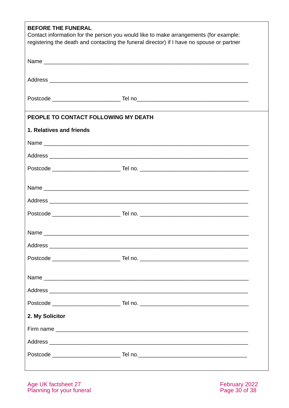| <b>BEFORE THE FUNERAL</b>            | Contact information for the person you would like to make arrangements (for example:<br>registering the death and contacting the funeral director) if I have no spouse or partner |  |
|--------------------------------------|-----------------------------------------------------------------------------------------------------------------------------------------------------------------------------------|--|
|                                      |                                                                                                                                                                                   |  |
|                                      |                                                                                                                                                                                   |  |
|                                      |                                                                                                                                                                                   |  |
| PEOPLE TO CONTACT FOLLOWING MY DEATH |                                                                                                                                                                                   |  |
| 1. Relatives and friends             |                                                                                                                                                                                   |  |
|                                      |                                                                                                                                                                                   |  |
|                                      |                                                                                                                                                                                   |  |
|                                      |                                                                                                                                                                                   |  |
|                                      |                                                                                                                                                                                   |  |
|                                      |                                                                                                                                                                                   |  |
|                                      |                                                                                                                                                                                   |  |
|                                      |                                                                                                                                                                                   |  |
|                                      |                                                                                                                                                                                   |  |
|                                      |                                                                                                                                                                                   |  |
|                                      |                                                                                                                                                                                   |  |
|                                      |                                                                                                                                                                                   |  |
|                                      |                                                                                                                                                                                   |  |
| 2. My Solicitor                      |                                                                                                                                                                                   |  |
|                                      |                                                                                                                                                                                   |  |
|                                      |                                                                                                                                                                                   |  |
|                                      |                                                                                                                                                                                   |  |
|                                      |                                                                                                                                                                                   |  |

Age UK factsheet 27<br>Planning for your funeral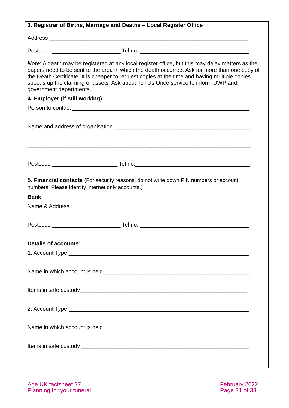| 3. Registrar of Births, Marriage and Deaths - Local Register Office                                                                                                                                                                                                                                                                                                                                                |
|--------------------------------------------------------------------------------------------------------------------------------------------------------------------------------------------------------------------------------------------------------------------------------------------------------------------------------------------------------------------------------------------------------------------|
|                                                                                                                                                                                                                                                                                                                                                                                                                    |
|                                                                                                                                                                                                                                                                                                                                                                                                                    |
| Note: A death may be registered at any local register office, but this may delay matters as the<br>papers need to be sent to the area in which the death occurred. Ask for more than one copy of<br>the Death Certificate. It is cheaper to request copies at the time and having multiple copies<br>speeds up the claiming of assets. Ask about Tell Us Once service to inform DWP and<br>government departments. |
| 4. Employer (if still working)                                                                                                                                                                                                                                                                                                                                                                                     |
|                                                                                                                                                                                                                                                                                                                                                                                                                    |
|                                                                                                                                                                                                                                                                                                                                                                                                                    |
| <u> 1989 - Johann Stoff, deutscher Stoff, der Stoff, der Stoff, der Stoff, der Stoff, der Stoff, der Stoff, der S</u>                                                                                                                                                                                                                                                                                              |
|                                                                                                                                                                                                                                                                                                                                                                                                                    |
| 5. Financial contacts (For security reasons, do not write down PIN numbers or account<br>numbers. Please identify internet only accounts.)                                                                                                                                                                                                                                                                         |
| <b>Bank</b>                                                                                                                                                                                                                                                                                                                                                                                                        |
|                                                                                                                                                                                                                                                                                                                                                                                                                    |
|                                                                                                                                                                                                                                                                                                                                                                                                                    |
| <b>Details of accounts:</b>                                                                                                                                                                                                                                                                                                                                                                                        |
|                                                                                                                                                                                                                                                                                                                                                                                                                    |
|                                                                                                                                                                                                                                                                                                                                                                                                                    |
|                                                                                                                                                                                                                                                                                                                                                                                                                    |
|                                                                                                                                                                                                                                                                                                                                                                                                                    |
|                                                                                                                                                                                                                                                                                                                                                                                                                    |
|                                                                                                                                                                                                                                                                                                                                                                                                                    |
| ,我们也不会有什么。""我们的人,我们也不会有什么?""我们的人,我们也不会有什么?""我们的人,我们也不会有什么?""我们的人,我们也不会有什么?""我们的人                                                                                                                                                                                                                                                                                                                                   |

Age UK factsheet 27 **February 2022** Planning for your funeral example of the state of the Page 31 of 38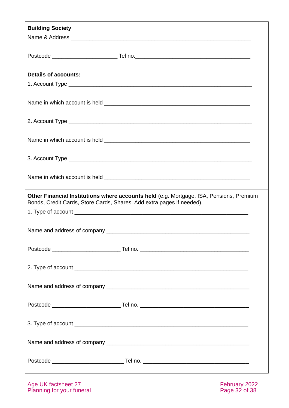| <b>Building Society</b>                                               |                                                                                         |  |
|-----------------------------------------------------------------------|-----------------------------------------------------------------------------------------|--|
|                                                                       |                                                                                         |  |
|                                                                       |                                                                                         |  |
| <b>Details of accounts:</b>                                           |                                                                                         |  |
|                                                                       |                                                                                         |  |
|                                                                       |                                                                                         |  |
|                                                                       |                                                                                         |  |
|                                                                       |                                                                                         |  |
|                                                                       |                                                                                         |  |
|                                                                       |                                                                                         |  |
| Bonds, Credit Cards, Store Cards, Shares. Add extra pages if needed). | Other Financial Institutions where accounts held (e.g. Mortgage, ISA, Pensions, Premium |  |
|                                                                       |                                                                                         |  |
|                                                                       |                                                                                         |  |
|                                                                       |                                                                                         |  |
|                                                                       |                                                                                         |  |
|                                                                       |                                                                                         |  |
|                                                                       |                                                                                         |  |
|                                                                       |                                                                                         |  |
|                                                                       |                                                                                         |  |
|                                                                       |                                                                                         |  |

Age UK factsheet 27 **February 2022** Planning for your funeral example of the state of the Page 32 of 38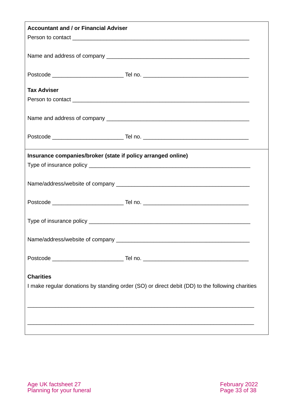| <b>Accountant and / or Financial Adviser</b>                 |                                                                                                 |  |
|--------------------------------------------------------------|-------------------------------------------------------------------------------------------------|--|
|                                                              |                                                                                                 |  |
|                                                              |                                                                                                 |  |
|                                                              |                                                                                                 |  |
| <b>Tax Adviser</b>                                           |                                                                                                 |  |
|                                                              |                                                                                                 |  |
|                                                              |                                                                                                 |  |
|                                                              |                                                                                                 |  |
| Insurance companies/broker (state if policy arranged online) |                                                                                                 |  |
|                                                              |                                                                                                 |  |
|                                                              |                                                                                                 |  |
|                                                              |                                                                                                 |  |
|                                                              |                                                                                                 |  |
|                                                              |                                                                                                 |  |
|                                                              |                                                                                                 |  |
| <b>Charities</b>                                             | I make regular donations by standing order (SO) or direct debit (DD) to the following charities |  |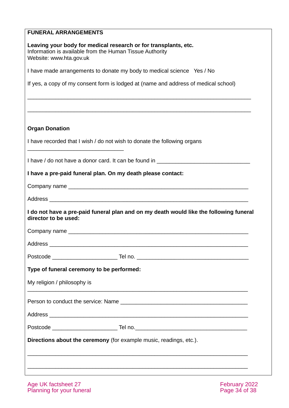| <b>FUNERAL ARRANGEMENTS</b>               |                                                                                                                             |
|-------------------------------------------|-----------------------------------------------------------------------------------------------------------------------------|
| Website: www.hta.gov.uk                   | Leaving your body for medical research or for transplants, etc.<br>Information is available from the Human Tissue Authority |
|                                           | I have made arrangements to donate my body to medical science Yes / No                                                      |
|                                           | If yes, a copy of my consent form is lodged at (name and address of medical school)                                         |
| <b>Organ Donation</b>                     |                                                                                                                             |
|                                           | I have recorded that I wish / do not wish to donate the following organs                                                    |
|                                           | I have / do not have a donor card. It can be found in __________________________                                            |
|                                           | I have a pre-paid funeral plan. On my death please contact:                                                                 |
|                                           |                                                                                                                             |
|                                           |                                                                                                                             |
| director to be used:                      | I do not have a pre-paid funeral plan and on my death would like the following funeral                                      |
|                                           |                                                                                                                             |
|                                           |                                                                                                                             |
|                                           |                                                                                                                             |
| Type of funeral ceremony to be performed: |                                                                                                                             |
| My religion / philosophy is               |                                                                                                                             |
|                                           |                                                                                                                             |
|                                           |                                                                                                                             |
|                                           |                                                                                                                             |
|                                           | Directions about the ceremony (for example music, readings, etc.).                                                          |
|                                           |                                                                                                                             |
|                                           |                                                                                                                             |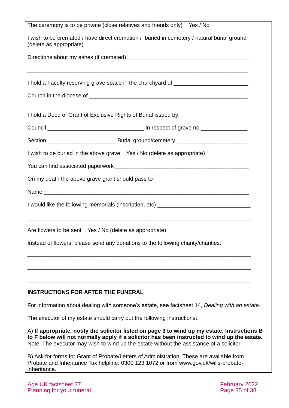| The ceremony is to be private (close relatives and friends only) Yes / No                                                                                                                                                                                                                 |
|-------------------------------------------------------------------------------------------------------------------------------------------------------------------------------------------------------------------------------------------------------------------------------------------|
| I wish to be cremated / have direct cremation / buried in cemetery / natural burial ground<br>(delete as appropriate)                                                                                                                                                                     |
|                                                                                                                                                                                                                                                                                           |
|                                                                                                                                                                                                                                                                                           |
| I hold a Faculty reserving grave space in the churchyard of ____________________                                                                                                                                                                                                          |
|                                                                                                                                                                                                                                                                                           |
|                                                                                                                                                                                                                                                                                           |
| I hold a Deed of Grant of Exclusive Rights of Burial issued by:                                                                                                                                                                                                                           |
|                                                                                                                                                                                                                                                                                           |
|                                                                                                                                                                                                                                                                                           |
| I wish to be buried in the above grave Yes / No (delete as appropriate)                                                                                                                                                                                                                   |
|                                                                                                                                                                                                                                                                                           |
| On my death the above grave grant should pass to                                                                                                                                                                                                                                          |
|                                                                                                                                                                                                                                                                                           |
| I would like the following memorials (inscription, etc) _________________________                                                                                                                                                                                                         |
|                                                                                                                                                                                                                                                                                           |
| Are flowers to be sent Yes / No (delete as appropriate)                                                                                                                                                                                                                                   |
| Instead of flowers, please send any donations to the following charity/charities:                                                                                                                                                                                                         |
|                                                                                                                                                                                                                                                                                           |
|                                                                                                                                                                                                                                                                                           |
|                                                                                                                                                                                                                                                                                           |
| <b>INSTRUCTIONS FOR AFTER THE FUNERAL</b>                                                                                                                                                                                                                                                 |
| For information about dealing with someone's estate, see factsheet 14, Dealing with an estate.                                                                                                                                                                                            |
| The executor of my estate should carry out the following instructions:                                                                                                                                                                                                                    |
| A) If appropriate, notify the solicitor listed on page 3 to wind up my estate. Instructions B<br>to F below will not normally apply if a solicitor has been instructed to wind up the estate.<br>Note: The executor may wish to wind up the estate without the assistance of a solicitor. |
| B) Ask for forms for Grant of Probate/Letters of Administration. These are available from<br>Probate and Inheritance Tax helpline: 0300 123 1072 or from www.gov.uk/wills-probate-<br>inheritance.                                                                                        |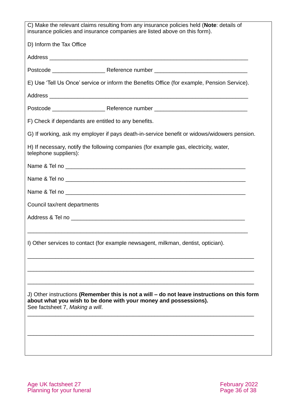|                                                      | C) Make the relevant claims resulting from any insurance policies held (Note: details of<br>insurance policies and insurance companies are listed above on this form). |
|------------------------------------------------------|------------------------------------------------------------------------------------------------------------------------------------------------------------------------|
| D) Inform the Tax Office                             |                                                                                                                                                                        |
|                                                      |                                                                                                                                                                        |
|                                                      |                                                                                                                                                                        |
|                                                      | E) Use 'Tell Us Once' service or inform the Benefits Office (for example, Pension Service).                                                                            |
|                                                      |                                                                                                                                                                        |
|                                                      |                                                                                                                                                                        |
| F) Check if dependants are entitled to any benefits. |                                                                                                                                                                        |
|                                                      | G) If working, ask my employer if pays death-in-service benefit or widows/widowers pension.                                                                            |
| telephone suppliers):                                | H) If necessary, notify the following companies (for example gas, electricity, water,                                                                                  |
|                                                      |                                                                                                                                                                        |
|                                                      |                                                                                                                                                                        |
|                                                      |                                                                                                                                                                        |
| Council tax/rent departments                         |                                                                                                                                                                        |
|                                                      |                                                                                                                                                                        |
|                                                      |                                                                                                                                                                        |
|                                                      | I) Other services to contact (for example newsagent, milkman, dentist, optician).                                                                                      |
|                                                      |                                                                                                                                                                        |
|                                                      |                                                                                                                                                                        |
| See factsheet 7, Making a will.                      | J) Other instructions (Remember this is not a will - do not leave instructions on this form<br>about what you wish to be done with your money and possessions).        |
|                                                      |                                                                                                                                                                        |
|                                                      |                                                                                                                                                                        |

Age UK factsheet 27 **February 2022** Planning for your funeral example of the page 36 of 38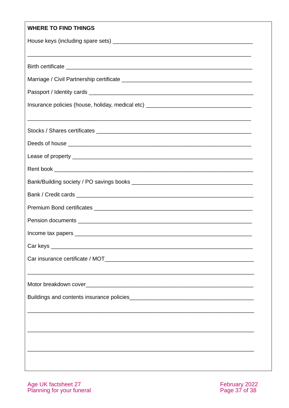#### WHEDE TO FIND THINGS

| WHERE TO FIND THINGS                                                             |
|----------------------------------------------------------------------------------|
|                                                                                  |
| <u> 1989 - Johann Stoff, amerikansk politiker (d. 1989)</u>                      |
|                                                                                  |
|                                                                                  |
| Insurance policies (house, holiday, medical etc) _______________________________ |
|                                                                                  |
|                                                                                  |
|                                                                                  |
|                                                                                  |
|                                                                                  |
|                                                                                  |
|                                                                                  |
|                                                                                  |
|                                                                                  |
|                                                                                  |
|                                                                                  |
|                                                                                  |
|                                                                                  |
|                                                                                  |
|                                                                                  |
|                                                                                  |
|                                                                                  |
|                                                                                  |

Age UK factsheet 27<br>Planning for your funeral